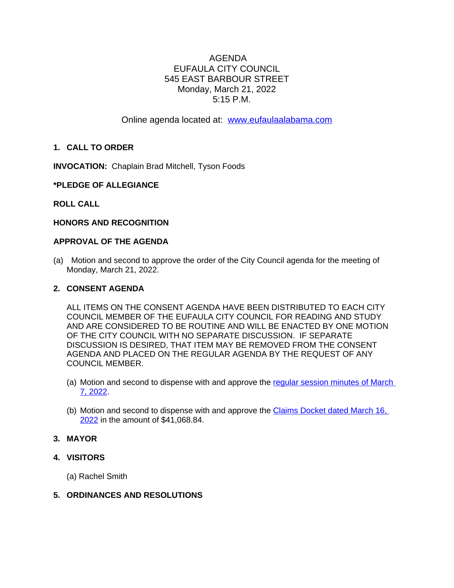# AGENDA EUFAULA CITY COUNCIL 545 EAST BARBOUR STREET Monday, March 21, 2022 5:15 P.M.

Online agenda located at: [www.eufaulaalabama.com](http://www.eufaulaalabama.com)

# **1. CALL TO ORDER**

**INVOCATION:** Chaplain Brad Mitchell, Tyson Foods

### **\*PLEDGE OF ALLEGIANCE**

### **ROLL CALL**

### **HONORS AND RECOGNITION**

#### **APPROVAL OF THE AGENDA**

(a) Motion and second to approve the order of the City Council agenda for the meeting of Monday, March 21, 2022.

#### **2. CONSENT AGENDA**

ALL ITEMS ON THE CONSENT AGENDA HAVE BEEN DISTRIBUTED TO EACH CITY COUNCIL MEMBER OF THE EUFAULA CITY COUNCIL FOR READING AND STUDY AND ARE CONSIDERED TO BE ROUTINE AND WILL BE ENACTED BY ONE MOTION OF THE CITY COUNCIL WITH NO SEPARATE DISCUSSION. IF SEPARATE DISCUSSION IS DESIRED, THAT ITEM MAY BE REMOVED FROM THE CONSENT AGENDA AND PLACED ON THE REGULAR AGENDA BY THE REQUEST OF ANY COUNCIL MEMBER.

- (a) Motion and second to dispense with and approve the regular session minutes of March [7, 2022.](https://www.eufaulaalabama.com/DocumentCenter/View/1505/Minutes---Regular-Session-03072022)
- (b) Motion and second to dispense with and approve the [Claims Docket dated March 16,](https://www.eufaulaalabama.com/DocumentCenter/View/1506/Claims-Docket---March-16-2022)  2022 in the amount of \$41,068.84.

## **3. MAYOR**

**4. VISITORS**

(a) Rachel Smith

#### **5. ORDINANCES AND RESOLUTIONS**